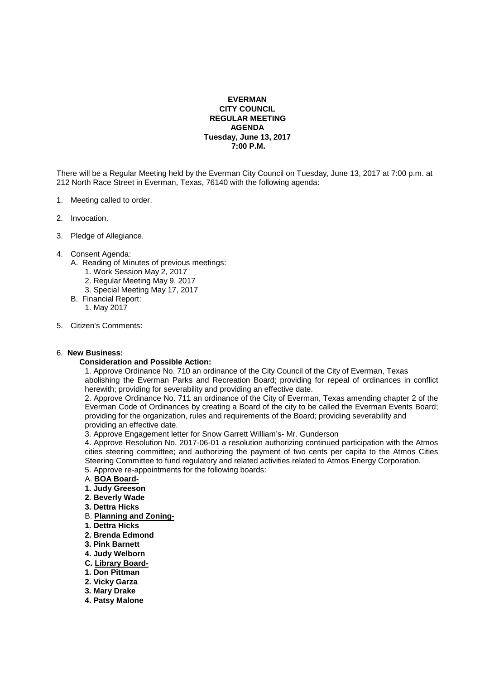### **EVERMAN CITY COUNCIL REGULAR MEETING AGENDA Tuesday, June 13, 2017 7:00 P.M.**

There will be a Regular Meeting held by the Everman City Council on Tuesday, June 13, 2017 at 7:00 p.m. at 212 North Race Street in Everman, Texas, 76140 with the following agenda:

- 1. Meeting called to order.
- 2. Invocation.
- 3. Pledge of Allegiance.
- 4. Consent Agenda:
	- A. Reading of Minutes of previous meetings:
		- 1. Work Session May 2, 2017
		- 2. Regular Meeting May 9, 2017
		- 3. Special Meeting May 17, 2017
	- B. Financial Report:
		- 1. May 2017
- 5. Citizen's Comments:

#### 6. **New Business:**

#### **Consideration and Possible Action:**

 1. Approve Ordinance No. 710 an ordinance of the City Council of the City of Everman, Texas abolishing the Everman Parks and Recreation Board; providing for repeal of ordinances in conflict herewith; providing for severability and providing an effective date.

 2. Approve Ordinance No. 711 an ordinance of the City of Everman, Texas amending chapter 2 of the Everman Code of Ordinances by creating a Board of the city to be called the Everman Events Board; providing for the organization, rules and requirements of the Board; providing severability and providing an effective date.

3. Approve Engagement letter for Snow Garrett William's- Mr. Gunderson

 4. Approve Resolution No. 2017-06-01 a resolution authorizing continued participation with the Atmos cities steering committee; and authorizing the payment of two cents per capita to the Atmos Cities Steering Committee to fund regulatory and related activities related to Atmos Energy Corporation. 5. Approve re-appointments for the following boards:

- A. **BOA Board-**
- **1. Judy Greeson**
- **2. Beverly Wade**
- **3. Dettra Hicks**
- B. **Planning and Zoning-**
- **1. Dettra Hicks**
- **2. Brenda Edmond**
- **3. Pink Barnett**
- **4. Judy Welborn**
- **C. Library Board-**
- **1. Don Pittman**
- **2. Vicky Garza**
- **3. Mary Drake**
- **4. Patsy Malone**